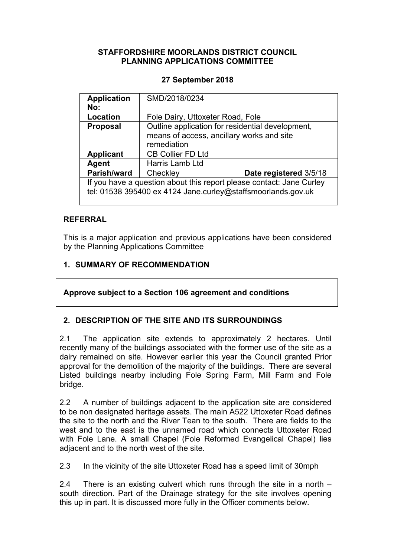## **STAFFORDSHIRE MOORLANDS DISTRICT COUNCIL PLANNING APPLICATIONS COMMITTEE**

## **27 September 2018**

| <b>Application</b><br>No:                                                                                                            | SMD/2018/0234                                                                                                |                        |
|--------------------------------------------------------------------------------------------------------------------------------------|--------------------------------------------------------------------------------------------------------------|------------------------|
| Location                                                                                                                             | Fole Dairy, Uttoxeter Road, Fole                                                                             |                        |
| <b>Proposal</b>                                                                                                                      | Outline application for residential development,<br>means of access, ancillary works and site<br>remediation |                        |
| <b>Applicant</b>                                                                                                                     | <b>CB Collier FD Ltd</b>                                                                                     |                        |
| Agent                                                                                                                                | Harris Lamb Ltd                                                                                              |                        |
| Parish/ward                                                                                                                          | Checkley                                                                                                     | Date registered 3/5/18 |
| If you have a question about this report please contact: Jane Curley<br>tel: 01538 395400 ex 4124 Jane.curley@staffsmoorlands.gov.uk |                                                                                                              |                        |

## **REFERRAL**

This is a major application and previous applications have been considered by the Planning Applications Committee

# **1. SUMMARY OF RECOMMENDATION**

**Approve subject to a Section 106 agreement and conditions**

# **2. DESCRIPTION OF THE SITE AND ITS SURROUNDINGS**

2.1 The application site extends to approximately 2 hectares. Until recently many of the buildings associated with the former use of the site as a dairy remained on site. However earlier this year the Council granted Prior approval for the demolition of the majority of the buildings. There are several Listed buildings nearby including Fole Spring Farm, Mill Farm and Fole bridge.

2.2 A number of buildings adjacent to the application site are considered to be non designated heritage assets. The main A522 Uttoxeter Road defines the site to the north and the River Tean to the south. There are fields to the west and to the east is the unnamed road which connects Uttoxeter Road with Fole Lane. A small Chapel (Fole Reformed Evangelical Chapel) lies adjacent and to the north west of the site.

2.3 In the vicinity of the site Uttoxeter Road has a speed limit of 30mph

2.4 There is an existing culvert which runs through the site in a north – south direction. Part of the Drainage strategy for the site involves opening this up in part. It is discussed more fully in the Officer comments below.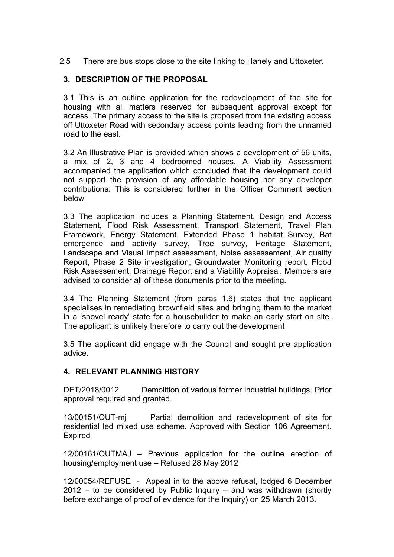2.5 There are bus stops close to the site linking to Hanely and Uttoxeter.

# **3. DESCRIPTION OF THE PROPOSAL**

3.1 This is an outline application for the redevelopment of the site for housing with all matters reserved for subsequent approval except for access. The primary access to the site is proposed from the existing access off Uttoxeter Road with secondary access points leading from the unnamed road to the east.

3.2 An Illustrative Plan is provided which shows a development of 56 units, a mix of 2, 3 and 4 bedroomed houses. A Viability Assessment accompanied the application which concluded that the development could not support the provision of any affordable housing nor any developer contributions. This is considered further in the Officer Comment section below

3.3 The application includes a Planning Statement, Design and Access Statement, Flood Risk Assessment, Transport Statement, Travel Plan Framework, Energy Statement, Extended Phase 1 habitat Survey, Bat emergence and activity survey, Tree survey, Heritage Statement, Landscape and Visual Impact assessment, Noise assessement, Air quality Report, Phase 2 Site investigation, Groundwater Monitoring report, Flood Risk Assessement, Drainage Report and a Viability Appraisal. Members are advised to consider all of these documents prior to the meeting.

3.4 The Planning Statement (from paras 1.6) states that the applicant specialises in remediating brownfield sites and bringing them to the market in a 'shovel ready' state for a housebuilder to make an early start on site. The applicant is unlikely therefore to carry out the development

3.5 The applicant did engage with the Council and sought pre application advice.

## **4. RELEVANT PLANNING HISTORY**

DET/2018/0012 Demolition of various former industrial buildings. Prior approval required and granted.

13/00151/OUT-mj Partial demolition and redevelopment of site for residential led mixed use scheme. Approved with Section 106 Agreement. Expired

12/00161/OUTMAJ – Previous application for the outline erection of housing/employment use – Refused 28 May 2012

12/00054/REFUSE - Appeal in to the above refusal, lodged 6 December  $2012 -$  to be considered by Public Inquiry – and was withdrawn (shortly before exchange of proof of evidence for the Inquiry) on 25 March 2013.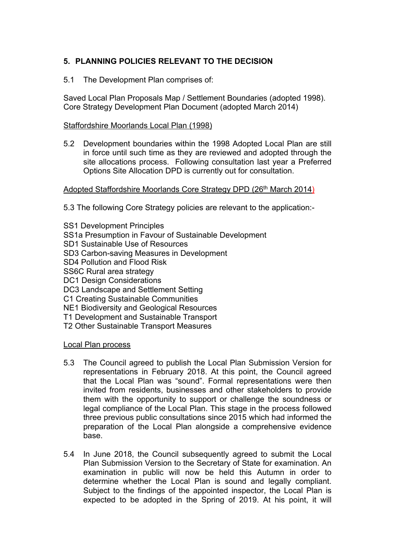# **5. PLANNING POLICIES RELEVANT TO THE DECISION**

5.1 The Development Plan comprises of:

Saved Local Plan Proposals Map / Settlement Boundaries (adopted 1998). Core Strategy Development Plan Document (adopted March 2014)

## Staffordshire Moorlands Local Plan (1998)

5.2 Development boundaries within the 1998 Adopted Local Plan are still in force until such time as they are reviewed and adopted through the site allocations process. Following consultation last year a Preferred Options Site Allocation DPD is currently out for consultation.

## Adopted Staffordshire Moorlands Core Strategy DPD (26th March 2014)

5.3 The following Core Strategy policies are relevant to the application:-

SS1 Development Principles SS1a Presumption in Favour of Sustainable Development SD1 Sustainable Use of Resources SD3 Carbon-saving Measures in Development SD4 Pollution and Flood Risk SS6C Rural area strategy DC1 Design Considerations DC3 Landscape and Settlement Setting C1 Creating Sustainable Communities NE1 Biodiversity and Geological Resources T1 Development and Sustainable Transport T2 Other Sustainable Transport Measures

## Local Plan process

- 5.3 The Council agreed to publish the Local Plan Submission Version for representations in February 2018. At this point, the Council agreed that the Local Plan was "sound". Formal representations were then invited from residents, businesses and other stakeholders to provide them with the opportunity to support or challenge the soundness or legal compliance of the Local Plan. This stage in the process followed three previous public consultations since 2015 which had informed the preparation of the Local Plan alongside a comprehensive evidence base.
- 5.4 In June 2018, the Council subsequently agreed to submit the Local Plan Submission Version to the Secretary of State for examination. An examination in public will now be held this Autumn in order to determine whether the Local Plan is sound and legally compliant. Subject to the findings of the appointed inspector, the Local Plan is expected to be adopted in the Spring of 2019. At his point, it will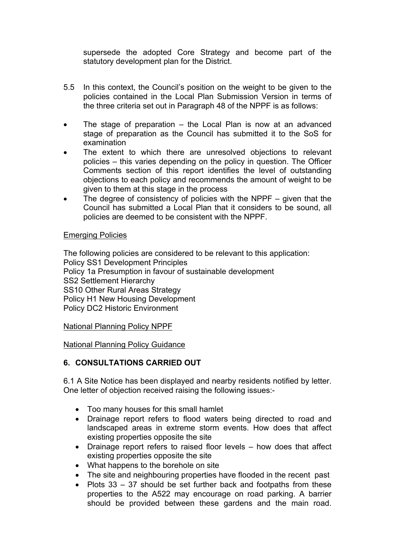supersede the adopted Core Strategy and become part of the statutory development plan for the District.

- 5.5 In this context, the Council's position on the weight to be given to the policies contained in the Local Plan Submission Version in terms of the three criteria set out in Paragraph 48 of the NPPF is as follows:
- The stage of preparation the Local Plan is now at an advanced stage of preparation as the Council has submitted it to the SoS for examination
- The extent to which there are unresolved objections to relevant policies – this varies depending on the policy in question. The Officer Comments section of this report identifies the level of outstanding objections to each policy and recommends the amount of weight to be given to them at this stage in the process
- The degree of consistency of policies with the NPPF  $-$  given that the Council has submitted a Local Plan that it considers to be sound, all policies are deemed to be consistent with the NPPF.

## Emerging Policies

The following policies are considered to be relevant to this application: Policy SS1 Development Principles Policy 1a Presumption in favour of sustainable development SS2 Settlement Hierarchy SS10 Other Rural Areas Strategy Policy H1 New Housing Development Policy DC2 Historic Environment

## National Planning Policy NPPF

## National Planning Policy Guidance

# **6. CONSULTATIONS CARRIED OUT**

6.1 A Site Notice has been displayed and nearby residents notified by letter. One letter of objection received raising the following issues:-

- Too many houses for this small hamlet
- Drainage report refers to flood waters being directed to road and landscaped areas in extreme storm events. How does that affect existing properties opposite the site
- Drainage report refers to raised floor levels how does that affect existing properties opposite the site
- What happens to the borehole on site
- The site and neighbouring properties have flooded in the recent past
- Plots  $33 37$  should be set further back and footpaths from these properties to the A522 may encourage on road parking. A barrier should be provided between these gardens and the main road.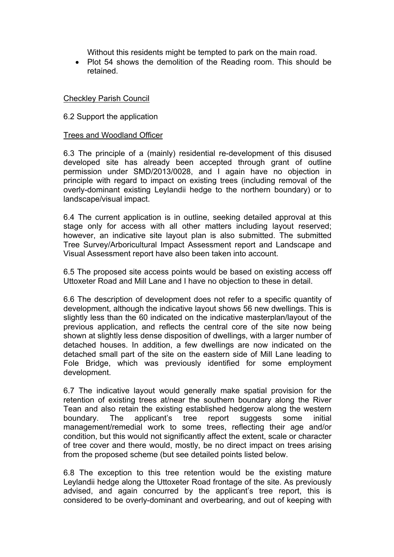Without this residents might be tempted to park on the main road.

• Plot 54 shows the demolition of the Reading room. This should be retained.

## Checkley Parish Council

## 6.2 Support the application

## Trees and Woodland Officer

6.3 The principle of a (mainly) residential re-development of this disused developed site has already been accepted through grant of outline permission under SMD/2013/0028, and I again have no objection in principle with regard to impact on existing trees (including removal of the overly-dominant existing Leylandii hedge to the northern boundary) or to landscape/visual impact.

6.4 The current application is in outline, seeking detailed approval at this stage only for access with all other matters including layout reserved; however, an indicative site layout plan is also submitted. The submitted Tree Survey/Arboricultural Impact Assessment report and Landscape and Visual Assessment report have also been taken into account.

6.5 The proposed site access points would be based on existing access off Uttoxeter Road and Mill Lane and I have no objection to these in detail.

6.6 The description of development does not refer to a specific quantity of development, although the indicative layout shows 56 new dwellings. This is slightly less than the 60 indicated on the indicative masterplan/layout of the previous application, and reflects the central core of the site now being shown at slightly less dense disposition of dwellings, with a larger number of detached houses. In addition, a few dwellings are now indicated on the detached small part of the site on the eastern side of Mill Lane leading to Fole Bridge, which was previously identified for some employment development.

6.7 The indicative layout would generally make spatial provision for the retention of existing trees at/near the southern boundary along the River Tean and also retain the existing established hedgerow along the western boundary. The applicant's tree report suggests some initial management/remedial work to some trees, reflecting their age and/or condition, but this would not significantly affect the extent, scale or character of tree cover and there would, mostly, be no direct impact on trees arising from the proposed scheme (but see detailed points listed below.

6.8 The exception to this tree retention would be the existing mature Leylandii hedge along the Uttoxeter Road frontage of the site. As previously advised, and again concurred by the applicant's tree report, this is considered to be overly-dominant and overbearing, and out of keeping with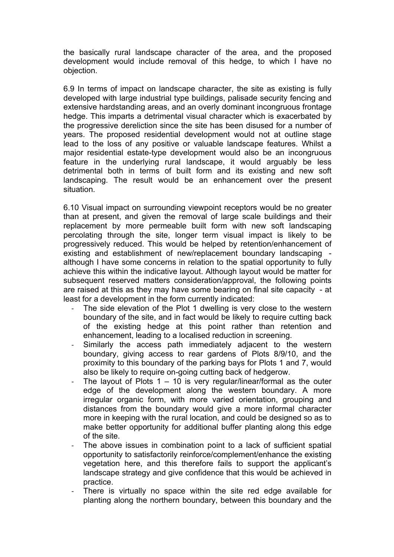the basically rural landscape character of the area, and the proposed development would include removal of this hedge, to which I have no objection.

6.9 In terms of impact on landscape character, the site as existing is fully developed with large industrial type buildings, palisade security fencing and extensive hardstanding areas, and an overly dominant incongruous frontage hedge. This imparts a detrimental visual character which is exacerbated by the progressive dereliction since the site has been disused for a number of years. The proposed residential development would not at outline stage lead to the loss of any positive or valuable landscape features. Whilst a major residential estate-type development would also be an incongruous feature in the underlying rural landscape, it would arguably be less detrimental both in terms of built form and its existing and new soft landscaping. The result would be an enhancement over the present situation.

6.10 Visual impact on surrounding viewpoint receptors would be no greater than at present, and given the removal of large scale buildings and their replacement by more permeable built form with new soft landscaping percolating through the site, longer term visual impact is likely to be progressively reduced. This would be helped by retention/enhancement of existing and establishment of new/replacement boundary landscaping although I have some concerns in relation to the spatial opportunity to fully achieve this within the indicative layout. Although layout would be matter for subsequent reserved matters consideration/approval, the following points are raised at this as they may have some bearing on final site capacity - at least for a development in the form currently indicated:

- The side elevation of the Plot 1 dwelling is very close to the western boundary of the site, and in fact would be likely to require cutting back of the existing hedge at this point rather than retention and enhancement, leading to a localised reduction in screening.
- Similarly the access path immediately adjacent to the western boundary, giving access to rear gardens of Plots 8/9/10, and the proximity to this boundary of the parking bays for Plots 1 and 7, would also be likely to require on-going cutting back of hedgerow.
- The layout of Plots  $1 10$  is very regular/linear/formal as the outer edge of the development along the western boundary. A more irregular organic form, with more varied orientation, grouping and distances from the boundary would give a more informal character more in keeping with the rural location, and could be designed so as to make better opportunity for additional buffer planting along this edge of the site.
- The above issues in combination point to a lack of sufficient spatial opportunity to satisfactorily reinforce/complement/enhance the existing vegetation here, and this therefore fails to support the applicant's landscape strategy and give confidence that this would be achieved in practice.
- There is virtually no space within the site red edge available for planting along the northern boundary, between this boundary and the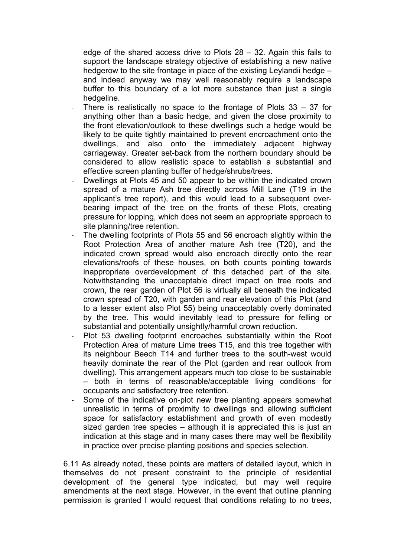edge of the shared access drive to Plots 28 – 32. Again this fails to support the landscape strategy objective of establishing a new native hedgerow to the site frontage in place of the existing Leylandii hedge – and indeed anyway we may well reasonably require a landscape buffer to this boundary of a lot more substance than just a single hedgeline.

- There is realistically no space to the frontage of Plots  $33 37$  for anything other than a basic hedge, and given the close proximity to the front elevation/outlook to these dwellings such a hedge would be likely to be quite tightly maintained to prevent encroachment onto the dwellings, and also onto the immediately adjacent highway carriageway. Greater set-back from the northern boundary should be considered to allow realistic space to establish a substantial and effective screen planting buffer of hedge/shrubs/trees.
- Dwellings at Plots 45 and 50 appear to be within the indicated crown spread of a mature Ash tree directly across Mill Lane (T19 in the applicant's tree report), and this would lead to a subsequent overbearing impact of the tree on the fronts of these Plots, creating pressure for lopping, which does not seem an appropriate approach to site planning/tree retention.
- The dwelling footprints of Plots 55 and 56 encroach slightly within the Root Protection Area of another mature Ash tree (T20), and the indicated crown spread would also encroach directly onto the rear elevations/roofs of these houses, on both counts pointing towards inappropriate overdevelopment of this detached part of the site. Notwithstanding the unacceptable direct impact on tree roots and crown, the rear garden of Plot 56 is virtually all beneath the indicated crown spread of T20, with garden and rear elevation of this Plot (and to a lesser extent also Plot 55) being unacceptably overly dominated by the tree. This would inevitably lead to pressure for felling or substantial and potentially unsightly/harmful crown reduction.
- Plot 53 dwelling footprint encroaches substantially within the Root Protection Area of mature Lime trees T15, and this tree together with its neighbour Beech T14 and further trees to the south-west would heavily dominate the rear of the Plot (garden and rear outlook from dwelling). This arrangement appears much too close to be sustainable – both in terms of reasonable/acceptable living conditions for occupants and satisfactory tree retention.
- Some of the indicative on-plot new tree planting appears somewhat unrealistic in terms of proximity to dwellings and allowing sufficient space for satisfactory establishment and growth of even modestly sized garden tree species – although it is appreciated this is just an indication at this stage and in many cases there may well be flexibility in practice over precise planting positions and species selection.

6.11 As already noted, these points are matters of detailed layout, which in themselves do not present constraint to the principle of residential development of the general type indicated, but may well require amendments at the next stage. However, in the event that outline planning permission is granted I would request that conditions relating to no trees,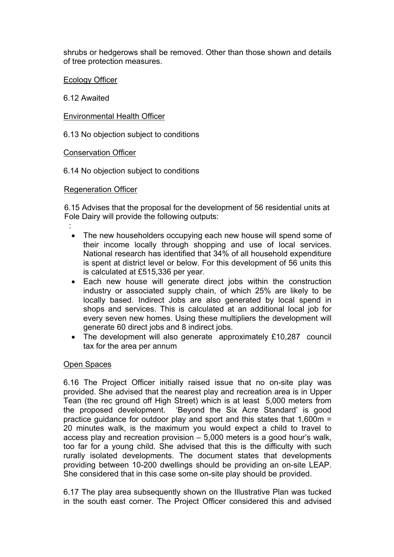shrubs or hedgerows shall be removed. Other than those shown and details of tree protection measures.

Ecology Officer

6.12 Awaited

#### Environmental Health Officer

6.13 No objection subject to conditions

#### Conservation Officer

#### 6.14 No objection subject to conditions

#### Regeneration Officer

:

6.15 Advises that the proposal for the development of 56 residential units at Fole Dairy will provide the following outputs:

- The new householders occupying each new house will spend some of their income locally through shopping and use of local services. National research has identified that 34% of all household expenditure is spent at district level or below. For this development of 56 units this is calculated at £515,336 per year.
- Each new house will generate direct jobs within the construction industry or associated supply chain, of which 25% are likely to be locally based. Indirect Jobs are also generated by local spend in shops and services. This is calculated at an additional local job for every seven new homes. Using these multipliers the development will generate 60 direct jobs and 8 indirect jobs.
- The development will also generate approximately £10,287 council tax for the area per annum

## Open Spaces

6.16 The Project Officer initially raised issue that no on-site play was provided. She advised that the nearest play and recreation area is in Upper Tean (the rec ground off High Street) which is at least 5,000 meters from the proposed development. 'Beyond the Six Acre Standard' is good practice guidance for outdoor play and sport and this states that 1,600m = 20 minutes walk, is the maximum you would expect a child to travel to access play and recreation provision – 5,000 meters is a good hour's walk, too far for a young child. She advised that this is the difficulty with such rurally isolated developments. The document states that developments providing between 10-200 dwellings should be providing an on-site LEAP. She considered that in this case some on-site play should be provided.

6.17 The play area subsequently shown on the Illustrative Plan was tucked in the south east corner. The Project Officer considered this and advised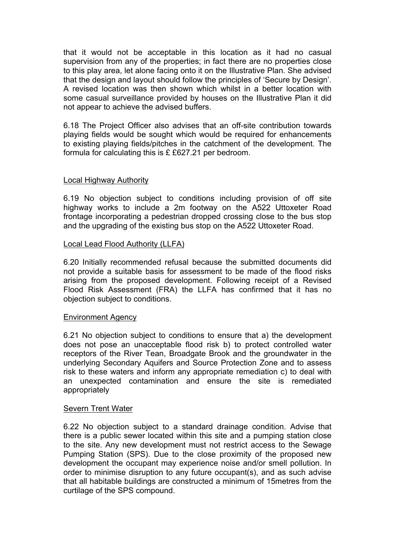that it would not be acceptable in this location as it had no casual supervision from any of the properties; in fact there are no properties close to this play area, let alone facing onto it on the Illustrative Plan. She advised that the design and layout should follow the principles of 'Secure by Design'. A revised location was then shown which whilst in a better location with some casual surveillance provided by houses on the Illustrative Plan it did not appear to achieve the advised buffers.

6.18 The Project Officer also advises that an off-site contribution towards playing fields would be sought which would be required for enhancements to existing playing fields/pitches in the catchment of the development. The formula for calculating this is £ £627.21 per bedroom.

#### Local Highway Authority

6.19 No objection subject to conditions including provision of off site highway works to include a 2m footway on the A522 Uttoxeter Road frontage incorporating a pedestrian dropped crossing close to the bus stop and the upgrading of the existing bus stop on the A522 Uttoxeter Road.

#### Local Lead Flood Authority (LLFA)

6.20 Initially recommended refusal because the submitted documents did not provide a suitable basis for assessment to be made of the flood risks arising from the proposed development. Following receipt of a Revised Flood Risk Assessment (FRA) the LLFA has confirmed that it has no objection subject to conditions.

#### Environment Agency

6.21 No objection subject to conditions to ensure that a) the development does not pose an unacceptable flood risk b) to protect controlled water receptors of the River Tean, Broadgate Brook and the groundwater in the underlying Secondary Aquifers and Source Protection Zone and to assess risk to these waters and inform any appropriate remediation c) to deal with an unexpected contamination and ensure the site is remediated appropriately

#### Severn Trent Water

6.22 No objection subject to a standard drainage condition. Advise that there is a public sewer located within this site and a pumping station close to the site. Any new development must not restrict access to the Sewage Pumping Station (SPS). Due to the close proximity of the proposed new development the occupant may experience noise and/or smell pollution. In order to minimise disruption to any future occupant(s), and as such advise that all habitable buildings are constructed a minimum of 15metres from the curtilage of the SPS compound.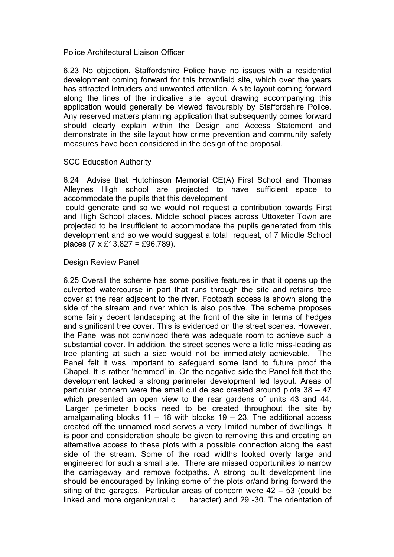### Police Architectural Liaison Officer

6.23 No objection. Staffordshire Police have no issues with a residential development coming forward for this brownfield site, which over the years has attracted intruders and unwanted attention. A site layout coming forward along the lines of the indicative site layout drawing accompanying this application would generally be viewed favourably by Staffordshire Police. Any reserved matters planning application that subsequently comes forward should clearly explain within the Design and Access Statement and demonstrate in the site layout how crime prevention and community safety measures have been considered in the design of the proposal.

#### **SCC Education Authority**

6.24 Advise that Hutchinson Memorial CE(A) First School and Thomas Alleynes High school are projected to have sufficient space to accommodate the pupils that this development

could generate and so we would not request a contribution towards First and High School places. Middle school places across Uttoxeter Town are projected to be insufficient to accommodate the pupils generated from this development and so we would suggest a total request, of 7 Middle School places (7 x £13,827 = £96,789).

#### Design Review Panel

6.25 Overall the scheme has some positive features in that it opens up the culverted watercourse in part that runs through the site and retains tree cover at the rear adjacent to the river. Footpath access is shown along the side of the stream and river which is also positive. The scheme proposes some fairly decent landscaping at the front of the site in terms of hedges and significant tree cover. This is evidenced on the street scenes. However, the Panel was not convinced there was adequate room to achieve such a substantial cover. In addition, the street scenes were a little miss-leading as tree planting at such a size would not be immediately achievable. The Panel felt it was important to safeguard some land to future proof the Chapel. It is rather 'hemmed' in. On the negative side the Panel felt that the development lacked a strong perimeter development led layout. Areas of particular concern were the small cul de sac created around plots 38 – 47 which presented an open view to the rear gardens of units 43 and 44. Larger perimeter blocks need to be created throughout the site by amalgamating blocks  $11 - 18$  with blocks  $19 - 23$ . The additional access created off the unnamed road serves a very limited number of dwellings. It is poor and consideration should be given to removing this and creating an alternative access to these plots with a possible connection along the east side of the stream. Some of the road widths looked overly large and engineered for such a small site. There are missed opportunities to narrow the carriageway and remove footpaths. A strong built development line should be encouraged by linking some of the plots or/and bring forward the siting of the garages. Particular areas of concern were 42 – 53 (could be linked and more organic/rural c haracter) and 29 -30. The orientation of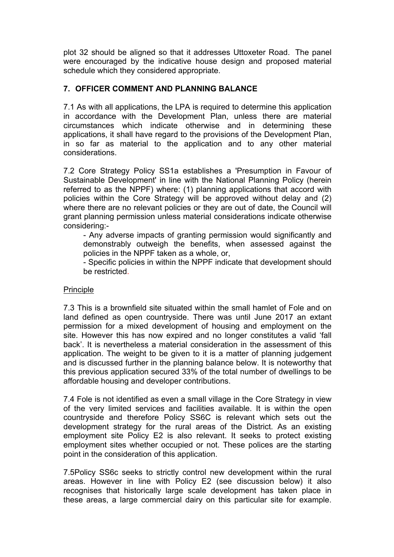plot 32 should be aligned so that it addresses Uttoxeter Road. The panel were encouraged by the indicative house design and proposed material schedule which they considered appropriate.

# **7. OFFICER COMMENT AND PLANNING BALANCE**

7.1 As with all applications, the LPA is required to determine this application in accordance with the Development Plan, unless there are material circumstances which indicate otherwise and in determining these applications, it shall have regard to the provisions of the Development Plan, in so far as material to the application and to any other material considerations.

7.2 Core Strategy Policy SS1a establishes a 'Presumption in Favour of Sustainable Development' in line with the National Planning Policy (herein referred to as the NPPF) where: (1) planning applications that accord with policies within the Core Strategy will be approved without delay and (2) where there are no relevant policies or they are out of date, the Council will grant planning permission unless material considerations indicate otherwise considering:-

- Any adverse impacts of granting permission would significantly and demonstrably outweigh the benefits, when assessed against the policies in the NPPF taken as a whole, or,

- Specific policies in within the NPPF indicate that development should be restricted.

# **Principle**

7.3 This is a brownfield site situated within the small hamlet of Fole and on land defined as open countryside. There was until June 2017 an extant permission for a mixed development of housing and employment on the site. However this has now expired and no longer constitutes a valid 'fall back'. It is nevertheless a material consideration in the assessment of this application. The weight to be given to it is a matter of planning judgement and is discussed further in the planning balance below. It is noteworthy that this previous application secured 33% of the total number of dwellings to be affordable housing and developer contributions.

7.4 Fole is not identified as even a small village in the Core Strategy in view of the very limited services and facilities available. It is within the open countryside and therefore Policy SS6C is relevant which sets out the development strategy for the rural areas of the District. As an existing employment site Policy E2 is also relevant. It seeks to protect existing employment sites whether occupied or not. These polices are the starting point in the consideration of this application.

7.5Policy SS6c seeks to strictly control new development within the rural areas. However in line with Policy E2 (see discussion below) it also recognises that historically large scale development has taken place in these areas, a large commercial dairy on this particular site for example.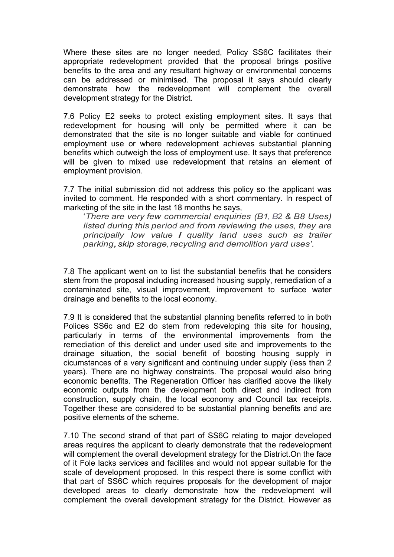Where these sites are no longer needed, Policy SS6C facilitates their appropriate redevelopment provided that the proposal brings positive benefits to the area and any resultant highway or environmental concerns can be addressed or minimised. The proposal it says should clearly demonstrate how the redevelopment will complement the overall development strategy for the District.

7.6 Policy E2 seeks to protect existing employment sites. It says that redevelopment for housing will only be permitted where it can be demonstrated that the site is no longer suitable and viable for continued employment use or where redevelopment achieves substantial planning benefits which outweigh the loss of employment use. It says that preference will be given to mixed use redevelopment that retains an element of employment provision.

7.7 The initial submission did not address this policy so the applicant was invited to comment. He responded with a short commentary. In respect of marketing of the site in the last 18 months he says,

'*There are very few commercial enquiries (B1, B2 & B8 Uses) listed during this period and from reviewing the uses, they are principally low value I quality land uses such as trailer parking, skip storage,recycling and demolition yard uses'.*

7.8 The applicant went on to list the substantial benefits that he considers stem from the proposal including increased housing supply, remediation of a contaminated site, visual improvement, improvement to surface water drainage and benefits to the local economy.

7.9 It is considered that the substantial planning benefits referred to in both Polices SS6c and E2 do stem from redeveloping this site for housing, particularly in terms of the environmental improvements from the remediation of this derelict and under used site and improvements to the drainage situation, the social benefit of boosting housing supply in cicumstances of a very significant and continuing under supply (less than 2 years). There are no highway constraints. The proposal would also bring economic benefits. The Regeneration Officer has clarified above the likely economic outputs from the development both direct and indirect from construction, supply chain, the local economy and Council tax receipts. Together these are considered to be substantial planning benefits and are positive elements of the scheme.

7.10 The second strand of that part of SS6C relating to major developed areas requires the applicant to clearly demonstrate that the redevelopment will complement the overall development strategy for the District.On the face of it Fole lacks services and facilites and would not appear suitable for the scale of development proposed. In this respect there is some conflict with that part of SS6C which requires proposals for the development of major developed areas to clearly demonstrate how the redevelopment will complement the overall development strategy for the District. However as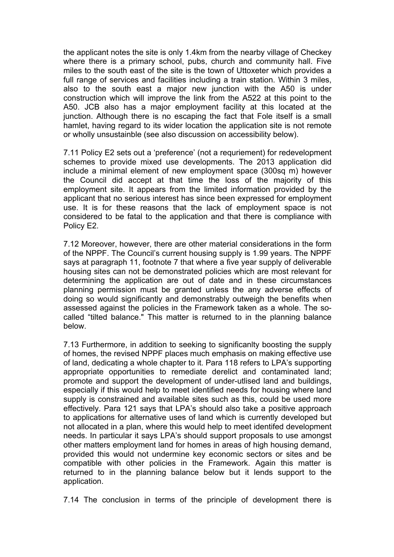the applicant notes the site is only 1.4km from the nearby village of Checkey where there is a primary school, pubs, church and community hall. Five miles to the south east of the site is the town of Uttoxeter which provides a full range of services and facilities including a train station. Within 3 miles, also to the south east a major new junction with the A50 is under construction which will improve the link from the A522 at this point to the A50. JCB also has a major employment facility at this located at the junction. Although there is no escaping the fact that Fole itself is a small hamlet, having regard to its wider location the application site is not remote or wholly unsustainble (see also discussion on accessibility below).

7.11 Policy E2 sets out a 'preference' (not a requriement) for redevelopment schemes to provide mixed use developments. The 2013 application did include a minimal element of new employment space (300sq m) however the Council did accept at that time the loss of the majority of this employment site. It appears from the limited information provided by the applicant that no serious interest has since been expressed for employment use. It is for these reasons that the lack of employment space is not considered to be fatal to the application and that there is compliance with Policy E2.

7.12 Moreover, however, there are other material considerations in the form of the NPPF. The Council's current housing supply is 1.99 years. The NPPF says at paragraph 11, footnote 7 that where a five year supply of deliverable housing sites can not be demonstrated policies which are most relevant for determining the application are out of date and in these circumstances planning permission must be granted unless the any adverse effects of doing so would significantly and demonstrably outweigh the benefits when assessed against the policies in the Framework taken as a whole. The socalled "tilted balance." This matter is returned to in the planning balance below.

7.13 Furthermore, in addition to seeking to significanlty boosting the supply of homes, the revised NPPF places much emphasis on making effective use of land, dedicating a whole chapter to it. Para 118 refers to LPA's supporting appropriate opportunities to remediate derelict and contaminated land; promote and support the development of under-utlised land and buildings, especially if this would help to meet identified needs for housing where land supply is constrained and available sites such as this, could be used more effectively. Para 121 says that LPA's should also take a positive approach to applications for alternative uses of land which is currently developed but not allocated in a plan, where this would help to meet identifed development needs. In particular it says LPA's should support proposals to use amongst other matters employment land for homes in areas of high housing demand, provided this would not undermine key economic sectors or sites and be compatible with other policies in the Framework. Again this matter is returned to in the planning balance below but it lends support to the application.

7.14 The conclusion in terms of the principle of development there is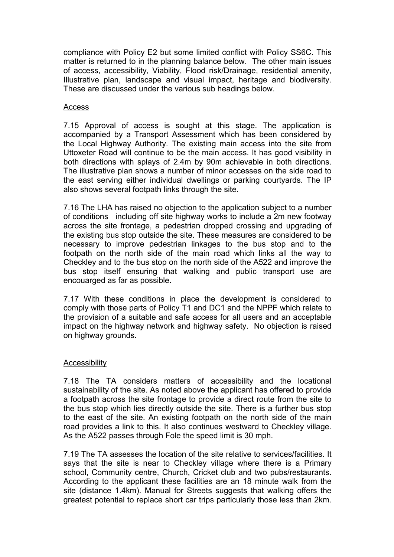compliance with Policy E2 but some limited conflict with Policy SS6C. This matter is returned to in the planning balance below. The other main issues of access, accessibility, Viability, Flood risk/Drainage, residential amenity, Illustrative plan, landscape and visual impact, heritage and biodiversity. These are discussed under the various sub headings below.

### Access

7.15 Approval of access is sought at this stage. The application is accompanied by a Transport Assessment which has been considered by the Local Highway Authority. The existing main access into the site from Uttoxeter Road will continue to be the main access. It has good visibility in both directions with splays of 2.4m by 90m achievable in both directions. The illustrative plan shows a number of minor accesses on the side road to the east serving either individual dwellings or parking courtyards. The IP also shows several footpath links through the site.

7.16 The LHA has raised no objection to the application subject to a number of conditions including off site highway works to include a 2m new footway across the site frontage, a pedestrian dropped crossing and upgrading of the existing bus stop outside the site. These measures are considered to be necessary to improve pedestrian linkages to the bus stop and to the footpath on the north side of the main road which links all the way to Checkley and to the bus stop on the north side of the A522 and improve the bus stop itself ensuring that walking and public transport use are encouarged as far as possible.

7.17 With these conditions in place the development is considered to comply with those parts of Policy T1 and DC1 and the NPPF which relate to the provision of a suitable and safe access for all users and an acceptable impact on the highway network and highway safety. No objection is raised on highway grounds.

#### Accessibility

7.18 The TA considers matters of accessibility and the locational sustainability of the site. As noted above the applicant has offered to provide a footpath across the site frontage to provide a direct route from the site to the bus stop which lies directly outside the site. There is a further bus stop to the east of the site. An existing footpath on the north side of the main road provides a link to this. It also continues westward to Checkley village. As the A522 passes through Fole the speed limit is 30 mph.

7.19 The TA assesses the location of the site relative to services/facilities. It says that the site is near to Checkley village where there is a Primary school, Community centre, Church, Cricket club and two pubs/restaurants. According to the applicant these facilities are an 18 minute walk from the site (distance 1.4km). Manual for Streets suggests that walking offers the greatest potential to replace short car trips particularly those less than 2km.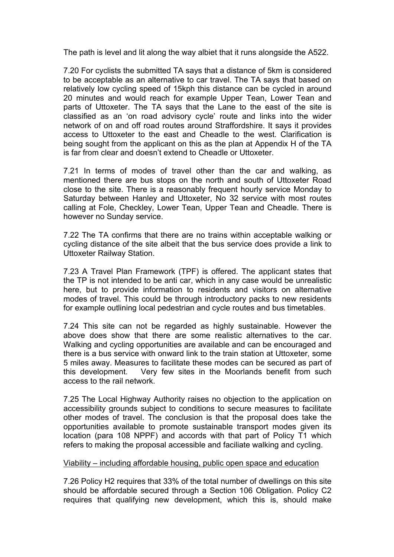The path is level and lit along the way albiet that it runs alongside the A522.

7.20 For cyclists the submitted TA says that a distance of 5km is considered to be acceptable as an alternative to car travel. The TA says that based on relatively low cycling speed of 15kph this distance can be cycled in around 20 minutes and would reach for example Upper Tean, Lower Tean and parts of Uttoxeter. The TA says that the Lane to the east of the site is classified as an 'on road advisory cycle' route and links into the wider network of on and off road routes around Straffordshire. It says it provides access to Uttoxeter to the east and Cheadle to the west. Clarification is being sought from the applicant on this as the plan at Appendix H of the TA is far from clear and doesn't extend to Cheadle or Uttoxeter.

7.21 In terms of modes of travel other than the car and walking, as mentioned there are bus stops on the north and south of Uttoxeter Road close to the site. There is a reasonably frequent hourly service Monday to Saturday between Hanley and Uttoxeter, No 32 service with most routes calling at Fole, Checkley, Lower Tean, Upper Tean and Cheadle. There is however no Sunday service.

7.22 The TA confirms that there are no trains within acceptable walking or cycling distance of the site albeit that the bus service does provide a link to Uttoxeter Railway Station.

7.23 A Travel Plan Framework (TPF) is offered. The applicant states that the TP is not intended to be anti car, which in any case would be unrealistic here, but to provide information to residents and visitors on alternative modes of travel. This could be through introductory packs to new residents for example outlining local pedestrian and cycle routes and bus timetables.

7.24 This site can not be regarded as highly sustainable. However the above does show that there are some realistic alternatives to the car. Walking and cycling opportunities are available and can be encouraged and there is a bus service with onward link to the train station at Uttoxeter, some 5 miles away. Measures to facilitate these modes can be secured as part of this development. Very few sites in the Moorlands benefit from such access to the rail network.

7.25 The Local Highway Authority raises no objection to the application on accessibility grounds subject to conditions to secure measures to facilitate other modes of travel. The conclusion is that the proposal does take the opportunities available to promote sustainable transport modes given its location (para 108 NPPF) and accords with that part of Policy T1 which refers to making the proposal accessible and faciliate walking and cycling.

#### Viability – including affordable housing, public open space and education

7.26 Policy H2 requires that 33% of the total number of dwellings on this site should be affordable secured through a Section 106 Obligation. Policy C2 requires that qualifying new development, which this is, should make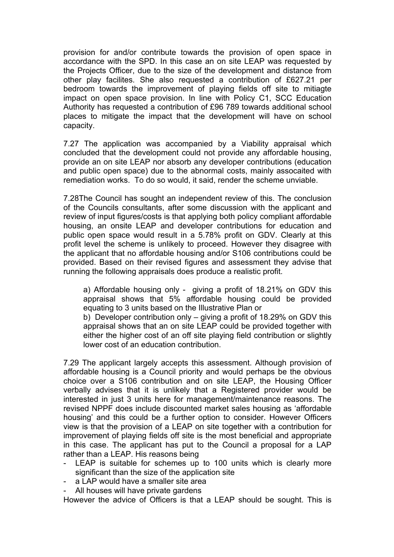provision for and/or contribute towards the provision of open space in accordance with the SPD. In this case an on site LEAP was requested by the Projects Officer, due to the size of the development and distance from other play facilites. She also requested a contribution of £627.21 per bedroom towards the improvement of playing fields off site to mitiagte impact on open space provision. In line with Policy C1, SCC Education Authority has requested a contribution of £96 789 towards additional school places to mitigate the impact that the development will have on school capacity.

7.27 The application was accompanied by a Viability appraisal which concluded that the development could not provide any affordable housing, provide an on site LEAP nor absorb any developer contributions (education and public open space) due to the abnormal costs, mainly assocaited with remediation works. To do so would, it said, render the scheme unviable.

7.28The Council has sought an independent review of this. The conclusion of the Councils consultants, after some discussion with the applicant and review of input figures/costs is that applying both policy compliant affordable housing, an onsite LEAP and developer contributions for education and public open space would result in a 5.78% profit on GDV. Clearly at this profit level the scheme is unlikely to proceed. However they disagree with the applicant that no affordable housing and/or S106 contributions could be provided. Based on their revised figures and assessment they advise that running the following appraisals does produce a realistic profit.

a) Affordable housing only - giving a profit of 18.21% on GDV this appraisal shows that 5% affordable housing could be provided equating to 3 units based on the Illustrative Plan or

b) Developer contribution only – giving a profit of 18.29% on GDV this appraisal shows that an on site LEAP could be provided together with either the higher cost of an off site playing field contribution or slightly lower cost of an education contribution.

7.29 The applicant largely accepts this assessment. Although provision of affordable housing is a Council priority and would perhaps be the obvious choice over a S106 contribution and on site LEAP, the Housing Officer verbally advises that it is unlikely that a Registered provider would be interested in just 3 units here for management/maintenance reasons. The revised NPPF does include discounted market sales housing as 'affordable housing' and this could be a further option to consider. However Officers view is that the provision of a LEAP on site together with a contribution for improvement of playing fields off site is the most beneficial and appropriate in this case. The applicant has put to the Council a proposal for a LAP rather than a LEAP. His reasons being

- LEAP is suitable for schemes up to 100 units which is clearly more significant than the size of the application site
- a LAP would have a smaller site area
- All houses will have private gardens

However the advice of Officers is that a LEAP should be sought. This is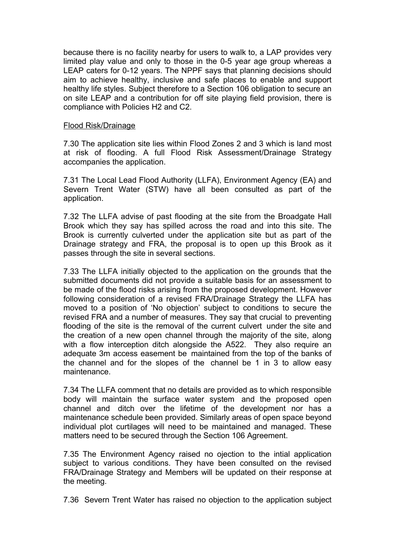because there is no facility nearby for users to walk to, a LAP provides very limited play value and only to those in the 0-5 year age group whereas a LEAP caters for 0-12 years. The NPPF says that planning decisions should aim to achieve healthy, inclusive and safe places to enable and support healthy life styles. Subject therefore to a Section 106 obligation to secure an on site LEAP and a contribution for off site playing field provision, there is compliance with Policies H2 and C2.

#### Flood Risk/Drainage

7.30 The application site lies within Flood Zones 2 and 3 which is land most at risk of flooding. A full Flood Risk Assessment/Drainage Strategy accompanies the application.

7.31 The Local Lead Flood Authority (LLFA), Environment Agency (EA) and Severn Trent Water (STW) have all been consulted as part of the application.

7.32 The LLFA advise of past flooding at the site from the Broadgate Hall Brook which they say has spilled across the road and into this site. The Brook is currently culverted under the application site but as part of the Drainage strategy and FRA, the proposal is to open up this Brook as it passes through the site in several sections.

7.33 The LLFA initially objected to the application on the grounds that the submitted documents did not provide a suitable basis for an assessment to be made of the flood risks arising from the proposed development. However following consideration of a revised FRA/Drainage Strategy the LLFA has moved to a position of 'No objection' subject to conditions to secure the revised FRA and a number of measures. They say that crucial to preventing flooding of the site is the removal of the current culvert under the site and the creation of a new open channel through the majority of the site, along with a flow interception ditch alongside the A522. They also require an adequate 3m access easement be maintained from the top of the banks of the channel and for the slopes of the channel be 1 in 3 to allow easy maintenance.

7.34 The LLFA comment that no details are provided as to which responsible body will maintain the surface water system and the proposed open channel and ditch over the lifetime of the development nor has a maintenance schedule been provided. Similarly areas of open space beyond individual plot curtilages will need to be maintained and managed. These matters need to be secured through the Section 106 Agreement.

7.35 The Environment Agency raised no ojection to the intial application subject to various conditions. They have been consulted on the revised FRA/Drainage Strategy and Members will be updated on their response at the meeting.

7.36 Severn Trent Water has raised no objection to the application subject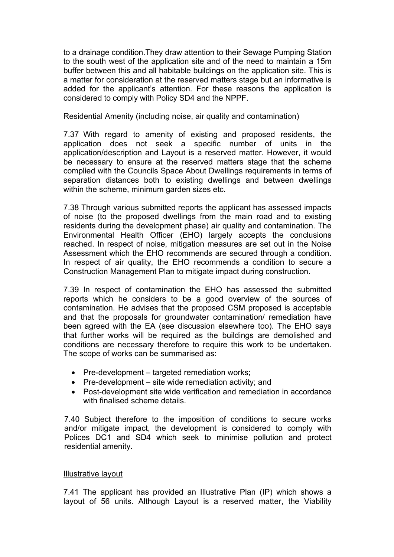to a drainage condition.They draw attention to their Sewage Pumping Station to the south west of the application site and of the need to maintain a 15m buffer between this and all habitable buildings on the application site. This is a matter for consideration at the reserved matters stage but an informative is added for the applicant's attention. For these reasons the application is considered to comply with Policy SD4 and the NPPF.

#### Residential Amenity (including noise, air quality and contamination)

7.37 With regard to amenity of existing and proposed residents, the application does not seek a specific number of units in the application/description and Layout is a reserved matter. However, it would be necessary to ensure at the reserved matters stage that the scheme complied with the Councils Space About Dwellings requirements in terms of separation distances both to existing dwellings and between dwellings within the scheme, minimum garden sizes etc.

7.38 Through various submitted reports the applicant has assessed impacts of noise (to the proposed dwellings from the main road and to existing residents during the development phase) air quality and contamination. The Environmental Health Officer (EHO) largely accepts the conclusions reached. In respect of noise, mitigation measures are set out in the Noise Assessment which the EHO recommends are secured through a condition. In respect of air quality, the EHO recommends a condition to secure a Construction Management Plan to mitigate impact during construction.

7.39 In respect of contamination the EHO has assessed the submitted reports which he considers to be a good overview of the sources of contamination. He advises that the proposed CSM proposed is acceptable and that the proposals for groundwater contamination/ remediation have been agreed with the EA (see discussion elsewhere too). The EHO says that further works will be required as the buildings are demolished and conditions are necessary therefore to require this work to be undertaken. The scope of works can be summarised as:

- Pre-development targeted remediation works;
- $\bullet$  Pre-development site wide remediation activity; and
- Post-development site wide verification and remediation in accordance with finalised scheme details.

7.40 Subject therefore to the imposition of conditions to secure works and/or mitigate impact, the development is considered to comply with Polices DC1 and SD4 which seek to minimise pollution and protect residential amenity.

#### Illustrative layout

7.41 The applicant has provided an Illustrative Plan (IP) which shows a layout of 56 units. Although Layout is a reserved matter, the Viability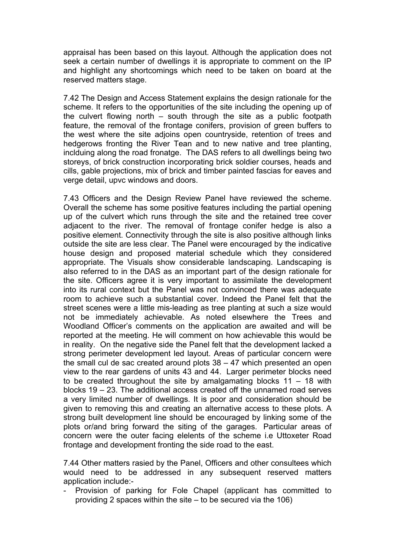appraisal has been based on this layout. Although the application does not seek a certain number of dwellings it is appropriate to comment on the IP and highlight any shortcomings which need to be taken on board at the reserved matters stage.

7.42 The Design and Access Statement explains the design rationale for the scheme. It refers to the opportunities of the site including the opening up of the culvert flowing north – south through the site as a public footpath feature, the removal of the frontage conifers, provision of green buffers to the west where the site adjoins open countryside, retention of trees and hedgerows fronting the River Tean and to new native and tree planting, inclduing along the road fronatge. The DAS refers to all dwellings being two storeys, of brick construction incorporating brick soldier courses, heads and cills, gable projections, mix of brick and timber painted fascias for eaves and verge detail, upvc windows and doors.

7.43 Officers and the Design Review Panel have reviewed the scheme. Overall the scheme has some positive features including the partial opening up of the culvert which runs through the site and the retained tree cover adjacent to the river. The removal of frontage conifer hedge is also a positive element. Connectivity through the site is also positive although links outside the site are less clear. The Panel were encouraged by the indicative house design and proposed material schedule which they considered appropriate. The Visuals show considerable landscaping. Landscaping is also referred to in the DAS as an important part of the design rationale for the site. Officers agree it is very important to assimilate the development into its rural context but the Panel was not convinced there was adequate room to achieve such a substantial cover. Indeed the Panel felt that the street scenes were a little mis-leading as tree planting at such a size would not be immediately achievable. As noted elsewhere the Trees and Woodland Officer's comments on the application are awaited and will be reported at the meeting. He will comment on how achievable this would be in reality. On the negative side the Panel felt that the development lacked a strong perimeter development led layout. Areas of particular concern were the small cul de sac created around plots 38 – 47 which presented an open view to the rear gardens of units 43 and 44. Larger perimeter blocks need to be created throughout the site by amalgamating blocks  $11 - 18$  with blocks 19 – 23. The additional access created off the unnamed road serves a very limited number of dwellings. It is poor and consideration should be given to removing this and creating an alternative access to these plots. A strong built development line should be encouraged by linking some of the plots or/and bring forward the siting of the garages. Particular areas of concern were the outer facing elelents of the scheme i.e Uttoxeter Road frontage and development fronting the side road to the east.

7.44 Other matters rasied by the Panel, Officers and other consultees which would need to be addressed in any subsequent reserved matters application include:-

- Provision of parking for Fole Chapel (applicant has committed to providing 2 spaces within the site – to be secured via the 106)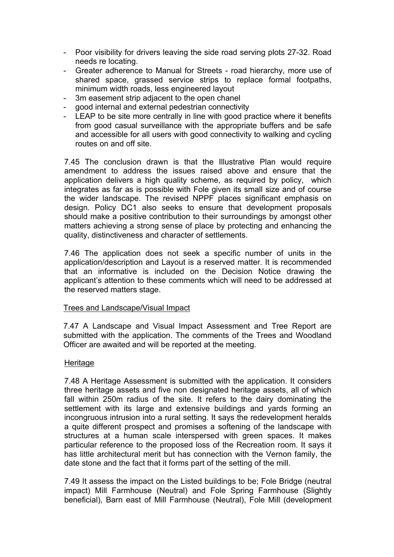- Poor visibility for drivers leaving the side road serving plots 27-32. Road needs re locating.
- Greater adherence to Manual for Streets road hierarchy, more use of shared space, grassed service strips to replace formal footpaths, minimum width roads, less engineered layout
- 3m easement strip adjacent to the open chanel
- good internal and external pedestrian connectivity
- LEAP to be site more centrally in line with good practice where it benefits from good casual surveillance with the appropriate buffers and be safe and accessible for all users with good connectivity to walking and cycling routes on and off site.

7.45 The conclusion drawn is that the Illustrative Plan would require amendment to address the issues raised above and ensure that the application delivers a high quality scheme, as required by policy, which integrates as far as is possible with Fole given its small size and of course the wider landscape. The revised NPPF places significant emphasis on design. Policy DC1 also seeks to ensure that development proposals should make a positive contribution to their surroundings by amongst other matters achieving a strong sense of place by protecting and enhancing the quality, distinctiveness and character of settlements.

7.46 The application does not seek a specific number of units in the application/description and Layout is a reserved matter. It is recommended that an informative is included on the Decision Notice drawing the applicant's attention to these comments which will need to be addressed at the reserved matters stage.

#### Trees and Landscape/Visual Impact

7.47 A Landscape and Visual Impact Assessment and Tree Report are submitted with the application. The comments of the Trees and Woodland Officer are awaited and will be reported at the meeting.

## **Heritage**

7.48 A Heritage Assessment is submitted with the application. It considers three heritage assets and five non designated heritage assets, all of which fall within 250m radius of the site. It refers to the dairy dominating the settlement with its large and extensive buildings and yards forming an incongruous intrusion into a rural setting. It says the redevelopment heralds a quite different prospect and promises a softening of the landscape with structures at a human scale interspersed with green spaces. It makes particular reference to the proposed loss of the Recreation room. It says it has little architectural merit but has connection with the Vernon family, the date stone and the fact that it forms part of the setting of the mill.

7.49 It assess the impact on the Listed buildings to be; Fole Bridge (neutral impact) Mill Farmhouse (Neutral) and Fole Spring Farmhouse (Slightly beneficial), Barn east of Mill Farmhouse (Neutral), Fole Mill (development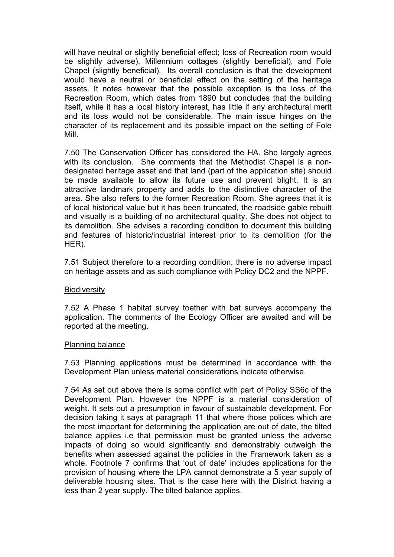will have neutral or slightly beneficial effect; loss of Recreation room would be slightly adverse), Millennium cottages (slightly beneficial), and Fole Chapel (slightly beneficial). Its overall conclusion is that the development would have a neutral or beneficial effect on the setting of the heritage assets. It notes however that the possible exception is the loss of the Recreation Room, which dates from 1890 but concludes that the building itself, while it has a local history interest, has little if any architectural merit and its loss would not be considerable. The main issue hinges on the character of its replacement and its possible impact on the setting of Fole Mill.

7.50 The Conservation Officer has considered the HA. She largely agrees with its conclusion. She comments that the Methodist Chapel is a nondesignated heritage asset and that land (part of the application site) should be made available to allow its future use and prevent blight. It is an attractive landmark property and adds to the distinctive character of the area. She also refers to the former Recreation Room. She agrees that it is of local historical value but it has been truncated, the roadside gable rebuilt and visually is a building of no architectural quality. She does not object to its demolition. She advises a recording condition to document this building and features of historic/industrial interest prior to its demolition (for the HER).

7.51 Subject therefore to a recording condition, there is no adverse impact on heritage assets and as such compliance with Policy DC2 and the NPPF.

#### **Biodiversity**

7.52 A Phase 1 habitat survey toether with bat surveys accompany the application. The comments of the Ecology Officer are awaited and will be reported at the meeting.

#### Planning balance

7.53 Planning applications must be determined in accordance with the Development Plan unless material considerations indicate otherwise.

7.54 As set out above there is some conflict with part of Policy SS6c of the Development Plan. However the NPPF is a material consideration of weight. It sets out a presumption in favour of sustainable development. For decision taking it says at paragraph 11 that where those polices which are the most important for determining the application are out of date, the tilted balance applies i.e that permission must be granted unless the adverse impacts of doing so would significantly and demonstrably outweigh the benefits when assessed against the policies in the Framework taken as a whole. Footnote 7 confirms that 'out of date' includes applications for the provision of housing where the LPA cannot demonstrate a 5 year supply of deliverable housing sites. That is the case here with the District having a less than 2 year supply. The tilted balance applies.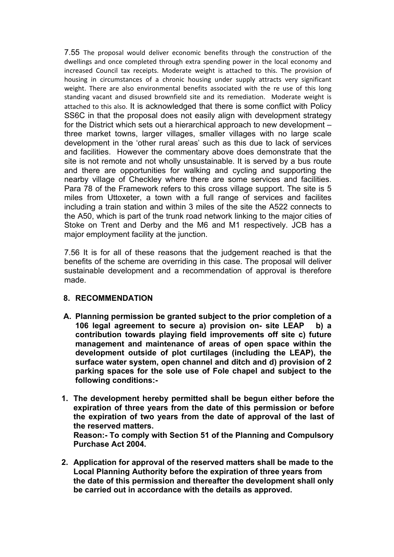7.55 The proposal would deliver economic benefits through the construction of the dwellings and once completed through extra spending power in the local economy and increased Council tax receipts. Moderate weight is attached to this. The provision of housing in circumstances of a chronic housing under supply attracts very significant weight. There are also environmental benefits associated with the re use of this long standing vacant and disused brownfield site and its remediation. Moderate weight is attached to this also. It is acknowledged that there is some conflict with Policy SS6C in that the proposal does not easily align with development strategy for the District which sets out a hierarchical approach to new development – three market towns, larger villages, smaller villages with no large scale development in the 'other rural areas' such as this due to lack of services and facilities. However the commentary above does demonstrate that the site is not remote and not wholly unsustainable. It is served by a bus route and there are opportunities for walking and cycling and supporting the nearby village of Checkley where there are some services and facilities. Para 78 of the Framework refers to this cross village support. The site is 5 miles from Uttoxeter, a town with a full range of services and facilites including a train station and within 3 miles of the site the A522 connects to the A50, which is part of the trunk road network linking to the major cities of Stoke on Trent and Derby and the M6 and M1 respectively. JCB has a major employment facility at the junction.

7.56 It is for all of these reasons that the judgement reached is that the benefits of the scheme are overriding in this case. The proposal will deliver sustainable development and a recommendation of approval is therefore made.

## **8. RECOMMENDATION**

- **A. Planning permission be granted subject to the prior completion of a 106 legal agreement to secure a) provision on- site LEAP b) a contribution towards playing field improvements off site c) future management and maintenance of areas of open space within the development outside of plot curtilages (including the LEAP), the surface water system, open channel and ditch and d) provision of 2 parking spaces for the sole use of Fole chapel and subject to the following conditions:-**
- **1. The development hereby permitted shall be begun either before the expiration of three years from the date of this permission or before the expiration of two years from the date of approval of the last of the reserved matters.**

**Reason:- To comply with Section 51 of the Planning and Compulsory Purchase Act 2004.**

**2. Application for approval of the reserved matters shall be made to the Local Planning Authority before the expiration of three years from the date of this permission and thereafter the development shall only be carried out in accordance with the details as approved.**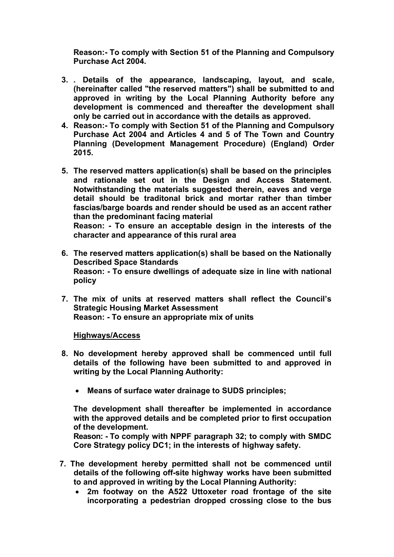**Reason:- To comply with Section 51 of the Planning and Compulsory Purchase Act 2004.**

- **3. . Details of the appearance, landscaping, layout, and scale, (hereinafter called "the reserved matters") shall be submitted to and approved in writing by the Local Planning Authority before any development is commenced and thereafter the development shall only be carried out in accordance with the details as approved.**
- **4. Reason:- To comply with Section 51 of the Planning and Compulsory Purchase Act 2004 and Articles 4 and 5 of The Town and Country Planning (Development Management Procedure) (England) Order 2015.**
- **5. The reserved matters application(s) shall be based on the principles and rationale set out in the Design and Access Statement. Notwithstanding the materials suggested therein, eaves and verge detail should be traditonal brick and mortar rather than timber fascias/barge boards and render should be used as an accent rather than the predominant facing material**

**Reason: - To ensure an acceptable design in the interests of the character and appearance of this rural area**

- **6. The reserved matters application(s) shall be based on the Nationally Described Space Standards Reason: - To ensure dwellings of adequate size in line with national policy**
- **7. The mix of units at reserved matters shall reflect the Council's Strategic Housing Market Assessment Reason: - To ensure an appropriate mix of units**

#### **Highways/Access**

- **8. No development hereby approved shall be commenced until full details of the following have been submitted to and approved in writing by the Local Planning Authority:**
	- **Means of surface water drainage to SUDS principles;**

**The development shall thereafter be implemented in accordance with the approved details and be completed prior to first occupation of the development.**

**Reason: - To comply with NPPF paragraph 32; to comply with SMDC Core Strategy policy DC1; in the interests of highway safety.**

- **7. The development hereby permitted shall not be commenced until details of the following off-site highway works have been submitted to and approved in writing by the Local Planning Authority:**
	- **2m footway on the A522 Uttoxeter road frontage of the site incorporating a pedestrian dropped crossing close to the bus**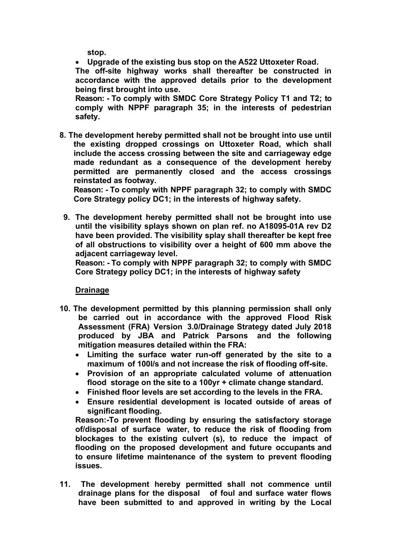**stop.**

 **Upgrade of the existing bus stop on the A522 Uttoxeter Road. The off-site highway works shall thereafter be constructed in accordance with the approved details prior to the development being first brought into use.**

**Reason: - To comply with SMDC Core Strategy Policy T1 and T2; to comply with NPPF paragraph 35; in the interests of pedestrian safety.**

**8. The development hereby permitted shall not be brought into use until the existing dropped crossings on Uttoxeter Road, which shall include the access crossing between the site and carriageway edge made redundant as a consequence of the development hereby permitted are permanently closed and the access crossings reinstated as footway.**

**Reason: - To comply with NPPF paragraph 32; to comply with SMDC Core Strategy policy DC1; in the interests of highway safety.**

**9. The development hereby permitted shall not be brought into use until the visibility splays shown on plan ref. no A18095-01A rev D2 have been provided. The visibility splay shall thereafter be kept free of all obstructions to visibility over a height of 600 mm above the adjacent carriageway level.**

**Reason: - To comply with NPPF paragraph 32; to comply with SMDC Core Strategy policy DC1; in the interests of highway safety**

## **Drainage**

- **10. The development permitted by this planning permission shall only be carried out in accordance with the approved Flood Risk Assessment (FRA) Version 3.0/Drainage Strategy dated July 2018 produced by JBA and Patrick Parsons and the following mitigation measures detailed within the FRA:**
	- **Limiting the surface water run-off generated by the site to a maximum of 100l/s and not increase the risk of flooding off-site.**
	- **Provision of an appropriate calculated volume of attenuation flood storage on the site to a 100yr + climate change standard.**
	- **Finished floor levels are set according to the levels in the FRA.**
	- **Ensure residential development is located outside of areas of significant flooding.**

**Reason:-To prevent flooding by ensuring the satisfactory storage of/disposal of surface water, to reduce the risk of flooding from blockages to the existing culvert (s), to reduce the impact of flooding on the proposed development and future occupants and to ensure lifetime maintenance of the system to prevent flooding issues.**

**11. The development hereby permitted shall not commence until drainage plans for the disposal of foul and surface water flows have been submitted to and approved in writing by the Local**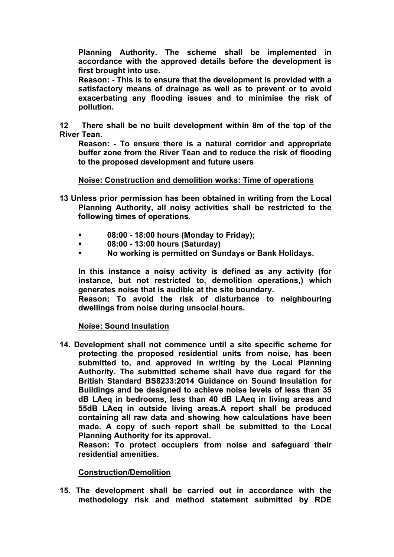**Planning Authority. The scheme shall be implemented in accordance with the approved details before the development is first brought into use.**

**Reason: - This is to ensure that the development is provided with a satisfactory means of drainage as well as to prevent or to avoid exacerbating any flooding issues and to minimise the risk of pollution.**

**12 There shall be no built development within 8m of the top of the River Tean.**

**Reason: - To ensure there is a natural corridor and appropriate buffer zone from the River Tean and to reduce the risk of flooding to the proposed development and future users**

**Noise: Construction and demolition works: Time of operations**

- **13 Unless prior permission has been obtained in writing from the Local Planning Authority, all noisy activities shall be restricted to the following times of operations.**
	- **08:00 - 18:00 hours (Monday to Friday);**
	- **08:00 - 13:00 hours (Saturday)**
	- **No working is permitted on Sundays or Bank Holidays.**

**In this instance a noisy activity is defined as any activity (for instance, but not restricted to, demolition operations,) which generates noise that is audible at the site boundary.** 

**Reason: To avoid the risk of disturbance to neighbouring dwellings from noise during unsocial hours.**

#### **Noise: Sound Insulation**

**14. Development shall not commence until a site specific scheme for protecting the proposed residential units from noise, has been submitted to, and approved in writing by the Local Planning Authority. The submitted scheme shall have due regard for the British Standard BS8233:2014 Guidance on Sound Insulation for Buildings and be designed to achieve noise levels of less than 35 dB LAeq in bedrooms, less than 40 dB LAeq in living areas and 55dB LAeq in outside living areas.A report shall be produced containing all raw data and showing how calculations have been made. A copy of such report shall be submitted to the Local Planning Authority for its approval.**

**Reason: To protect occupiers from noise and safeguard their residential amenities.**

#### **Construction/Demolition**

**15. The development shall be carried out in accordance with the methodology risk and method statement submitted by RDE**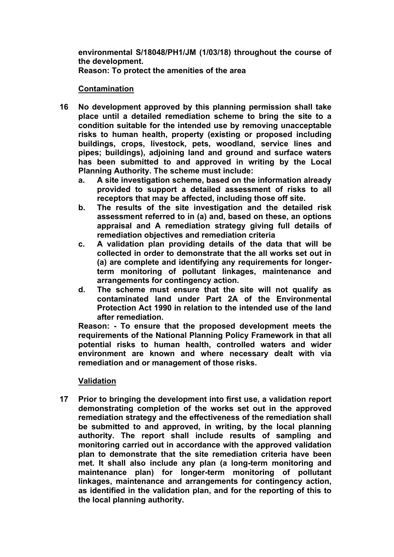**environmental S/18048/PH1/JM (1/03/18) throughout the course of the development. Reason: To protect the amenities of the area**

## **Contamination**

- **16 No development approved by this planning permission shall take place until a detailed remediation scheme to bring the site to a condition suitable for the intended use by removing unacceptable risks to human health, property (existing or proposed including buildings, crops, livestock, pets, woodland, service lines and pipes; buildings), adjoining land and ground and surface waters has been submitted to and approved in writing by the Local Planning Authority. The scheme must include:**
	- **a. A site investigation scheme, based on the information already provided to support a detailed assessment of risks to all receptors that may be affected, including those off site.**
	- **b. The results of the site investigation and the detailed risk assessment referred to in (a) and, based on these, an options appraisal and A remediation strategy giving full details of remediation objectives and remediation criteria**
	- **c. A validation plan providing details of the data that will be collected in order to demonstrate that the all works set out in (a) are complete and identifying any requirements for longerterm monitoring of pollutant linkages, maintenance and arrangements for contingency action.**
	- **d. The scheme must ensure that the site will not qualify as contaminated land under Part 2A of the Environmental Protection Act 1990 in relation to the intended use of the land after remediation.**

**Reason: - To ensure that the proposed development meets the requirements of the National Planning Policy Framework in that all potential risks to human health, controlled waters and wider environment are known and where necessary dealt with via remediation and or management of those risks.**

## **Validation**

**17 Prior to bringing the development into first use, a validation report demonstrating completion of the works set out in the approved remediation strategy and the effectiveness of the remediation shall be submitted to and approved, in writing, by the local planning authority. The report shall include results of sampling and monitoring carried out in accordance with the approved validation plan to demonstrate that the site remediation criteria have been met. It shall also include any plan (a long-term monitoring and maintenance plan) for longer-term monitoring of pollutant linkages, maintenance and arrangements for contingency action, as identified in the validation plan, and for the reporting of this to the local planning authority.**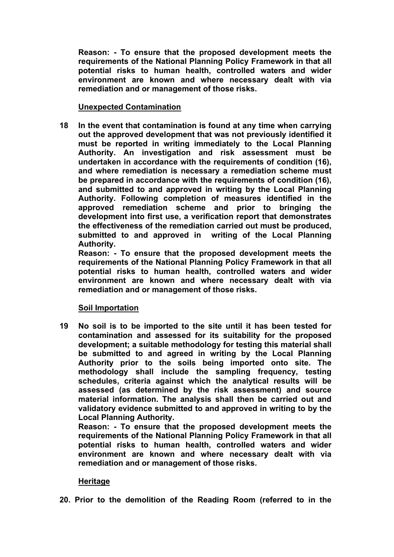**Reason: - To ensure that the proposed development meets the requirements of the National Planning Policy Framework in that all potential risks to human health, controlled waters and wider environment are known and where necessary dealt with via remediation and or management of those risks.**

## **Unexpected Contamination**

**18 In the event that contamination is found at any time when carrying out the approved development that was not previously identified it must be reported in writing immediately to the Local Planning Authority. An investigation and risk assessment must be undertaken in accordance with the requirements of condition (16), and where remediation is necessary a remediation scheme must be prepared in accordance with the requirements of condition (16), and submitted to and approved in writing by the Local Planning Authority. Following completion of measures identified in the approved remediation scheme and prior to bringing the development into first use, a verification report that demonstrates the effectiveness of the remediation carried out must be produced, submitted to and approved in writing of the Local Planning Authority.**

**Reason: - To ensure that the proposed development meets the requirements of the National Planning Policy Framework in that all potential risks to human health, controlled waters and wider environment are known and where necessary dealt with via remediation and or management of those risks.**

## **Soil Importation**

**19 No soil is to be imported to the site until it has been tested for contamination and assessed for its suitability for the proposed development; a suitable methodology for testing this material shall be submitted to and agreed in writing by the Local Planning Authority prior to the soils being imported onto site. The methodology shall include the sampling frequency, testing schedules, criteria against which the analytical results will be assessed (as determined by the risk assessment) and source material information. The analysis shall then be carried out and validatory evidence submitted to and approved in writing to by the Local Planning Authority.**

**Reason: - To ensure that the proposed development meets the requirements of the National Planning Policy Framework in that all potential risks to human health, controlled waters and wider environment are known and where necessary dealt with via remediation and or management of those risks.**

## **Heritage**

**20. Prior to the demolition of the Reading Room (referred to in the**